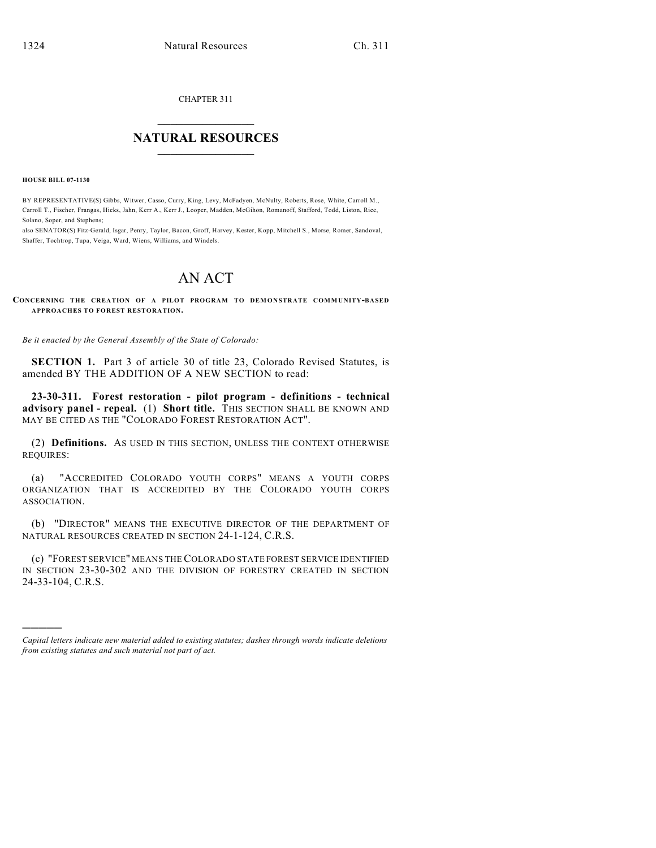CHAPTER 311

## $\overline{\phantom{a}}$  . The set of the set of the set of the set of the set of the set of the set of the set of the set of the set of the set of the set of the set of the set of the set of the set of the set of the set of the set o **NATURAL RESOURCES**  $\frac{1}{\sqrt{2}}$  , where  $\frac{1}{\sqrt{2}}$  ,  $\frac{1}{\sqrt{2}}$  ,  $\frac{1}{\sqrt{2}}$

**HOUSE BILL 07-1130**

)))))

BY REPRESENTATIVE(S) Gibbs, Witwer, Casso, Curry, King, Levy, McFadyen, McNulty, Roberts, Rose, White, Carroll M., Carroll T., Fischer, Frangas, Hicks, Jahn, Kerr A., Kerr J., Looper, Madden, McGihon, Romanoff, Stafford, Todd, Liston, Rice, Solano, Soper, and Stephens;

also SENATOR(S) Fitz-Gerald, Isgar, Penry, Taylor, Bacon, Groff, Harvey, Kester, Kopp, Mitchell S., Morse, Romer, Sandoval, Shaffer, Tochtrop, Tupa, Veiga, Ward, Wiens, Williams, and Windels.

## AN ACT

**CONCERNING THE CREATION OF A PILOT PROGRAM TO DEM ONSTRATE COMMUNITY-BASED APPROACHES TO FOREST RESTORATION.**

*Be it enacted by the General Assembly of the State of Colorado:*

**SECTION 1.** Part 3 of article 30 of title 23, Colorado Revised Statutes, is amended BY THE ADDITION OF A NEW SECTION to read:

**23-30-311. Forest restoration - pilot program - definitions - technical advisory panel - repeal.** (1) **Short title.** THIS SECTION SHALL BE KNOWN AND MAY BE CITED AS THE "COLORADO FOREST RESTORATION ACT".

(2) **Definitions.** AS USED IN THIS SECTION, UNLESS THE CONTEXT OTHERWISE REQUIRES:

(a) "ACCREDITED COLORADO YOUTH CORPS" MEANS A YOUTH CORPS ORGANIZATION THAT IS ACCREDITED BY THE COLORADO YOUTH CORPS ASSOCIATION.

(b) "DIRECTOR" MEANS THE EXECUTIVE DIRECTOR OF THE DEPARTMENT OF NATURAL RESOURCES CREATED IN SECTION 24-1-124, C.R.S.

(c) "FOREST SERVICE" MEANS THE COLORADO STATE FOREST SERVICE IDENTIFIED IN SECTION 23-30-302 AND THE DIVISION OF FORESTRY CREATED IN SECTION 24-33-104, C.R.S.

*Capital letters indicate new material added to existing statutes; dashes through words indicate deletions from existing statutes and such material not part of act.*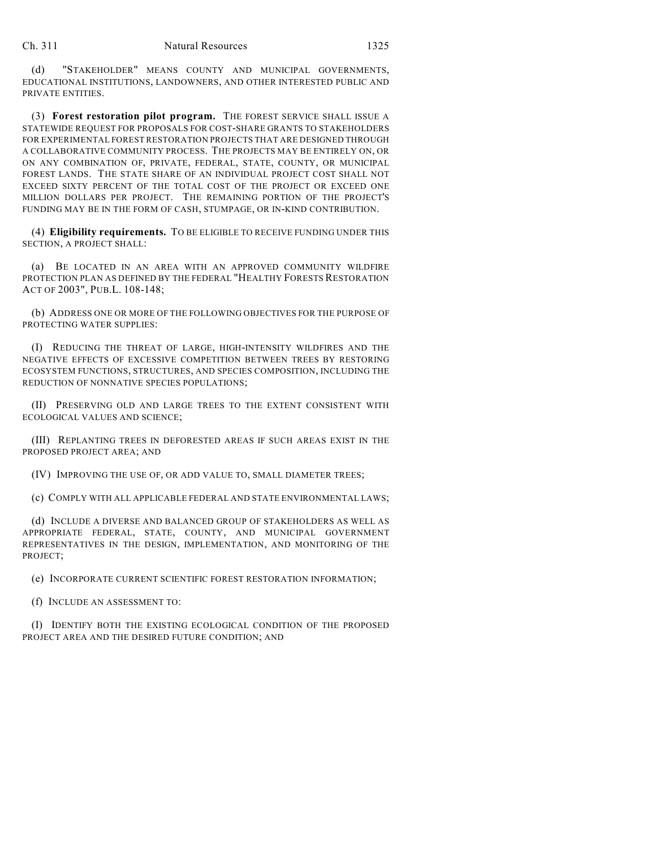(d) "STAKEHOLDER" MEANS COUNTY AND MUNICIPAL GOVERNMENTS, EDUCATIONAL INSTITUTIONS, LANDOWNERS, AND OTHER INTERESTED PUBLIC AND PRIVATE ENTITIES.

(3) **Forest restoration pilot program.** THE FOREST SERVICE SHALL ISSUE A STATEWIDE REQUEST FOR PROPOSALS FOR COST-SHARE GRANTS TO STAKEHOLDERS FOR EXPERIMENTAL FOREST RESTORATION PROJECTS THAT ARE DESIGNED THROUGH A COLLABORATIVE COMMUNITY PROCESS. THE PROJECTS MAY BE ENTIRELY ON, OR ON ANY COMBINATION OF, PRIVATE, FEDERAL, STATE, COUNTY, OR MUNICIPAL FOREST LANDS. THE STATE SHARE OF AN INDIVIDUAL PROJECT COST SHALL NOT EXCEED SIXTY PERCENT OF THE TOTAL COST OF THE PROJECT OR EXCEED ONE MILLION DOLLARS PER PROJECT. THE REMAINING PORTION OF THE PROJECT'S FUNDING MAY BE IN THE FORM OF CASH, STUMPAGE, OR IN-KIND CONTRIBUTION.

(4) **Eligibility requirements.** TO BE ELIGIBLE TO RECEIVE FUNDING UNDER THIS SECTION, A PROJECT SHALL:

(a) BE LOCATED IN AN AREA WITH AN APPROVED COMMUNITY WILDFIRE PROTECTION PLAN AS DEFINED BY THE FEDERAL "HEALTHY FORESTS RESTORATION ACT OF 2003", PUB.L. 108-148;

(b) ADDRESS ONE OR MORE OF THE FOLLOWING OBJECTIVES FOR THE PURPOSE OF PROTECTING WATER SUPPLIES:

(I) REDUCING THE THREAT OF LARGE, HIGH-INTENSITY WILDFIRES AND THE NEGATIVE EFFECTS OF EXCESSIVE COMPETITION BETWEEN TREES BY RESTORING ECOSYSTEM FUNCTIONS, STRUCTURES, AND SPECIES COMPOSITION, INCLUDING THE REDUCTION OF NONNATIVE SPECIES POPULATIONS;

(II) PRESERVING OLD AND LARGE TREES TO THE EXTENT CONSISTENT WITH ECOLOGICAL VALUES AND SCIENCE;

(III) REPLANTING TREES IN DEFORESTED AREAS IF SUCH AREAS EXIST IN THE PROPOSED PROJECT AREA; AND

(IV) IMPROVING THE USE OF, OR ADD VALUE TO, SMALL DIAMETER TREES;

(c) COMPLY WITH ALL APPLICABLE FEDERAL AND STATE ENVIRONMENTAL LAWS;

(d) INCLUDE A DIVERSE AND BALANCED GROUP OF STAKEHOLDERS AS WELL AS APPROPRIATE FEDERAL, STATE, COUNTY, AND MUNICIPAL GOVERNMENT REPRESENTATIVES IN THE DESIGN, IMPLEMENTATION, AND MONITORING OF THE PROJECT;

(e) INCORPORATE CURRENT SCIENTIFIC FOREST RESTORATION INFORMATION;

(f) INCLUDE AN ASSESSMENT TO:

(I) IDENTIFY BOTH THE EXISTING ECOLOGICAL CONDITION OF THE PROPOSED PROJECT AREA AND THE DESIRED FUTURE CONDITION; AND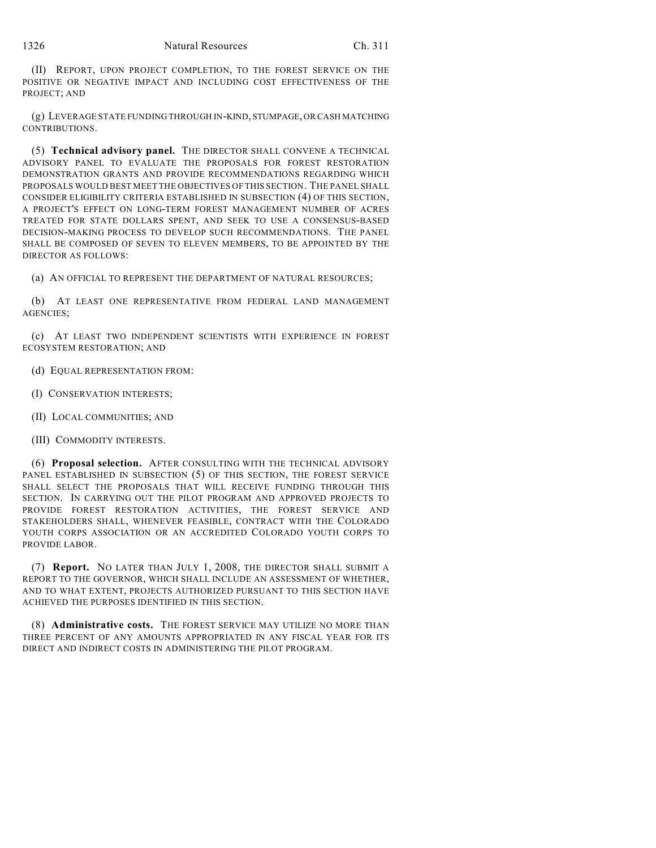(II) REPORT, UPON PROJECT COMPLETION, TO THE FOREST SERVICE ON THE POSITIVE OR NEGATIVE IMPACT AND INCLUDING COST EFFECTIVENESS OF THE PROJECT; AND

(g) LEVERAGE STATE FUNDING THROUGH IN-KIND, STUMPAGE, OR CASH MATCHING CONTRIBUTIONS.

(5) **Technical advisory panel.** THE DIRECTOR SHALL CONVENE A TECHNICAL ADVISORY PANEL TO EVALUATE THE PROPOSALS FOR FOREST RESTORATION DEMONSTRATION GRANTS AND PROVIDE RECOMMENDATIONS REGARDING WHICH PROPOSALS WOULD BEST MEET THE OBJECTIVES OF THIS SECTION. THE PANEL SHALL CONSIDER ELIGIBILITY CRITERIA ESTABLISHED IN SUBSECTION (4) OF THIS SECTION, A PROJECT'S EFFECT ON LONG-TERM FOREST MANAGEMENT NUMBER OF ACRES TREATED FOR STATE DOLLARS SPENT, AND SEEK TO USE A CONSENSUS-BASED DECISION-MAKING PROCESS TO DEVELOP SUCH RECOMMENDATIONS. THE PANEL SHALL BE COMPOSED OF SEVEN TO ELEVEN MEMBERS, TO BE APPOINTED BY THE DIRECTOR AS FOLLOWS:

(a) AN OFFICIAL TO REPRESENT THE DEPARTMENT OF NATURAL RESOURCES;

(b) AT LEAST ONE REPRESENTATIVE FROM FEDERAL LAND MANAGEMENT AGENCIES;

(c) AT LEAST TWO INDEPENDENT SCIENTISTS WITH EXPERIENCE IN FOREST ECOSYSTEM RESTORATION; AND

- (d) EQUAL REPRESENTATION FROM:
- (I) CONSERVATION INTERESTS;
- (II) LOCAL COMMUNITIES; AND
- (III) COMMODITY INTERESTS.

(6) **Proposal selection.** AFTER CONSULTING WITH THE TECHNICAL ADVISORY PANEL ESTABLISHED IN SUBSECTION (5) OF THIS SECTION, THE FOREST SERVICE SHALL SELECT THE PROPOSALS THAT WILL RECEIVE FUNDING THROUGH THIS SECTION. IN CARRYING OUT THE PILOT PROGRAM AND APPROVED PROJECTS TO PROVIDE FOREST RESTORATION ACTIVITIES, THE FOREST SERVICE AND STAKEHOLDERS SHALL, WHENEVER FEASIBLE, CONTRACT WITH THE COLORADO YOUTH CORPS ASSOCIATION OR AN ACCREDITED COLORADO YOUTH CORPS TO PROVIDE LABOR.

(7) **Report.** NO LATER THAN JULY 1, 2008, THE DIRECTOR SHALL SUBMIT A REPORT TO THE GOVERNOR, WHICH SHALL INCLUDE AN ASSESSMENT OF WHETHER, AND TO WHAT EXTENT, PROJECTS AUTHORIZED PURSUANT TO THIS SECTION HAVE ACHIEVED THE PURPOSES IDENTIFIED IN THIS SECTION.

(8) **Administrative costs.** THE FOREST SERVICE MAY UTILIZE NO MORE THAN THREE PERCENT OF ANY AMOUNTS APPROPRIATED IN ANY FISCAL YEAR FOR ITS DIRECT AND INDIRECT COSTS IN ADMINISTERING THE PILOT PROGRAM.